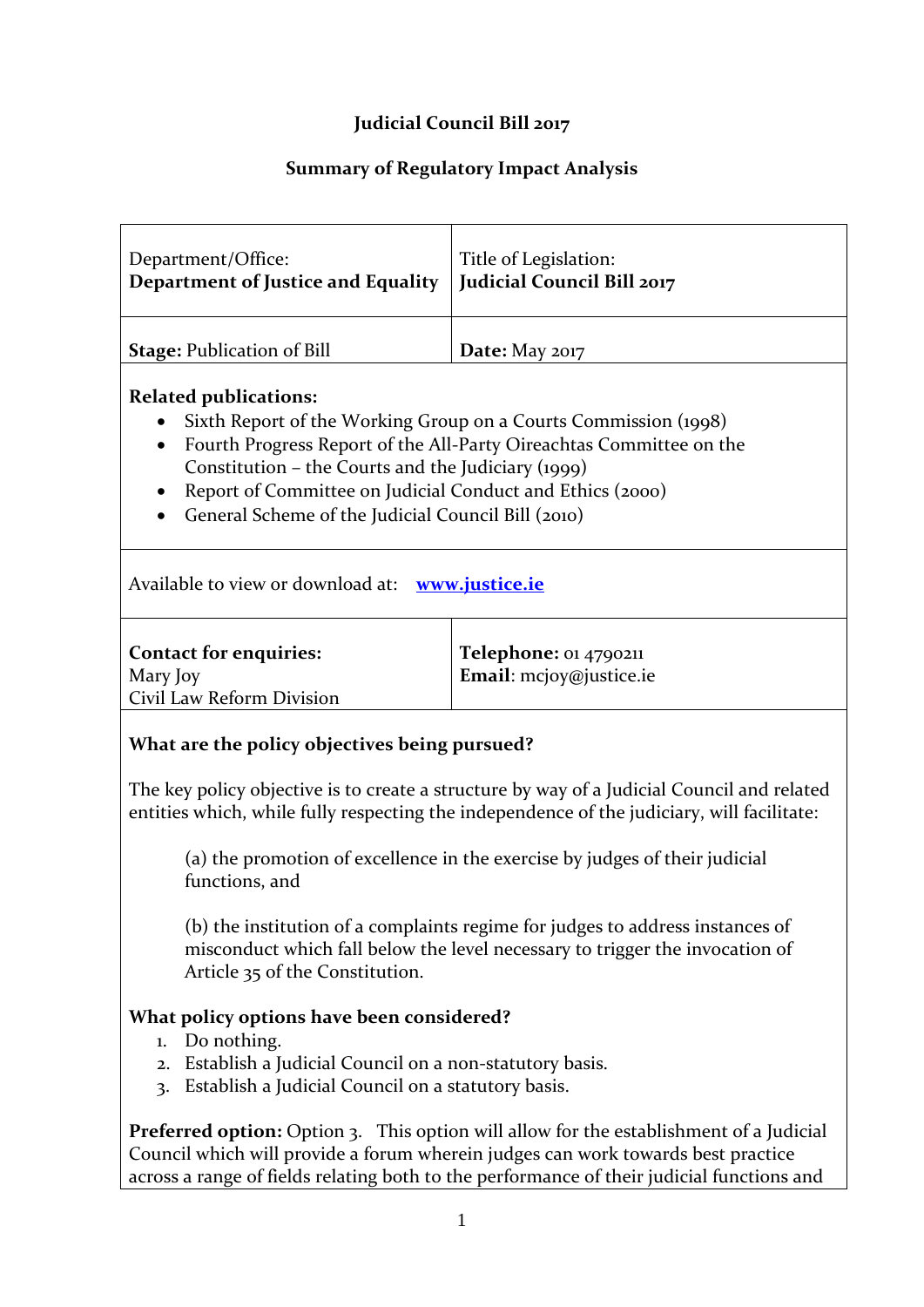# **Judicial Council Bill 2017**

# **Summary of Regulatory Impact Analysis**

| Department/Office:<br><b>Department of Justice and Equality</b>                                                                                                                                                                                                                                                                                                                        | Title of Legislation:<br>Judicial Council Bill 2017 |  |
|----------------------------------------------------------------------------------------------------------------------------------------------------------------------------------------------------------------------------------------------------------------------------------------------------------------------------------------------------------------------------------------|-----------------------------------------------------|--|
| <b>Stage: Publication of Bill</b>                                                                                                                                                                                                                                                                                                                                                      | Date: May 2017                                      |  |
| <b>Related publications:</b><br>Sixth Report of the Working Group on a Courts Commission (1998)<br>$\bullet$<br>Fourth Progress Report of the All-Party Oireachtas Committee on the<br>$\bullet$<br>Constitution – the Courts and the Judiciary (1999)<br>Report of Committee on Judicial Conduct and Ethics (2000)<br>$\bullet$<br>General Scheme of the Judicial Council Bill (2010) |                                                     |  |
| Available to view or download at: www.justice.ie                                                                                                                                                                                                                                                                                                                                       |                                                     |  |
| <b>Contact for enquiries:</b><br>Mary Joy<br>Civil Law Reform Division                                                                                                                                                                                                                                                                                                                 | Telephone: 01 4790211<br>Email: mcjoy@justice.ie    |  |
| What are the policy objectives being pursued?                                                                                                                                                                                                                                                                                                                                          |                                                     |  |
| The key policy objective is to create a structure by way of a Judicial Council and related<br>entities which, while fully respecting the independence of the judiciary, will facilitate:                                                                                                                                                                                               |                                                     |  |
| (a) the promotion of excellence in the exercise by judges of their judicial<br>functions, and                                                                                                                                                                                                                                                                                          |                                                     |  |
| (b) the institution of a complaints regime for judges to address instances of<br>misconduct which fall below the level necessary to trigger the invocation of<br>Article 35 of the Constitution.                                                                                                                                                                                       |                                                     |  |
| What policy options have been considered?<br>Do nothing.<br>1.<br>Establish a Judicial Council on a non-statutory basis.<br>2.<br>Establish a Judicial Council on a statutory basis.<br>3.                                                                                                                                                                                             |                                                     |  |
| <b>Preferred option:</b> Option 3. This option will allow for the establishment of a Judicial<br>Council which will provide a forum wherein judges can work towards best practice                                                                                                                                                                                                      |                                                     |  |

across a range of fields relating both to the performance of their judicial functions and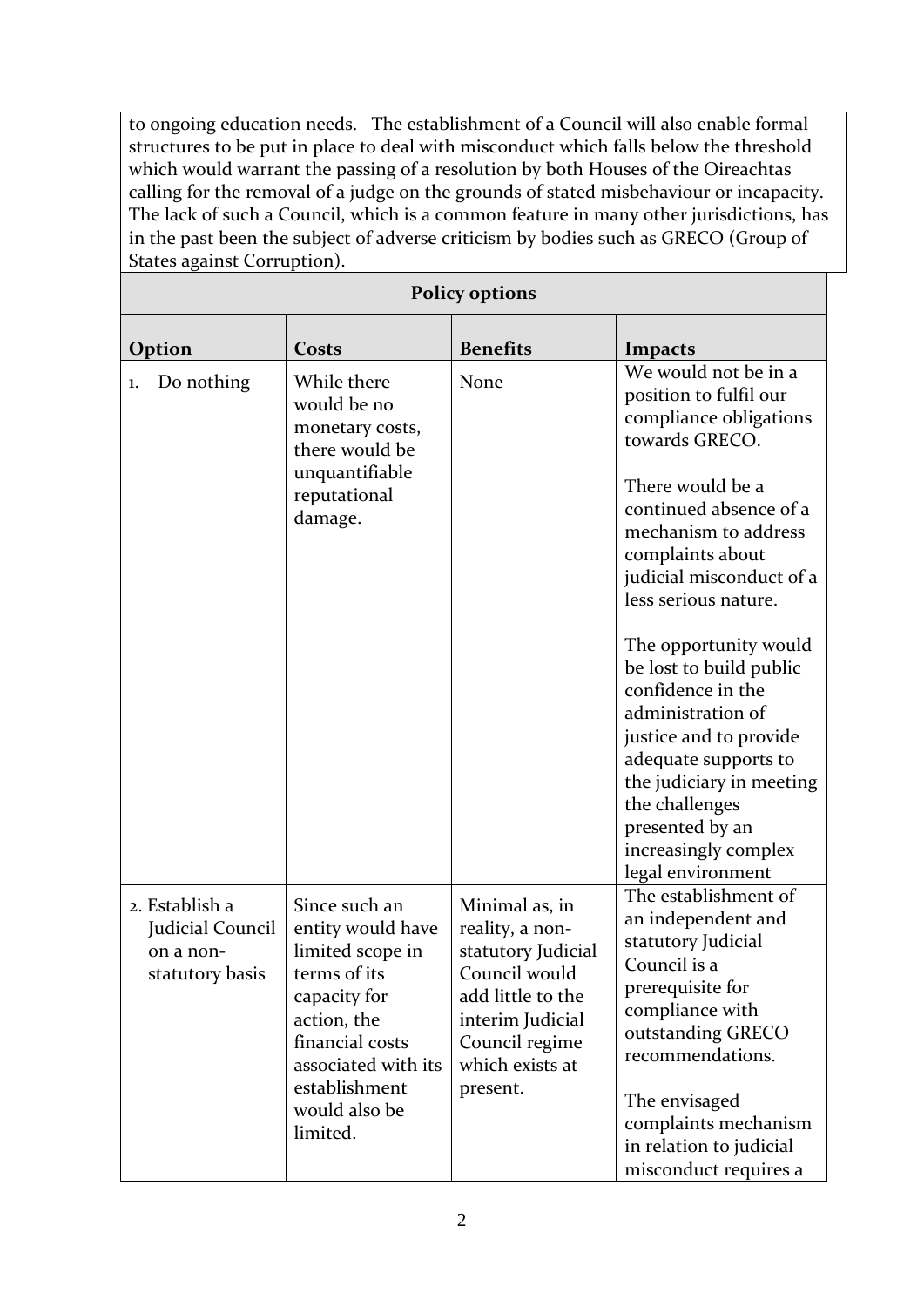to ongoing education needs. The establishment of a Council will also enable formal structures to be put in place to deal with misconduct which falls below the threshold which would warrant the passing of a resolution by both Houses of the Oireachtas calling for the removal of a judge on the grounds of stated misbehaviour or incapacity. The lack of such a Council, which is a common feature in many other jurisdictions, has in the past been the subject of adverse criticism by bodies such as GRECO (Group of States against Corruption).

| <b>Policy options</b>                                              |                                                                                                                                                                                               |                                                                                                                                                                    |                                                                                                                                                                                                                                                                                                                                                                                                                                                                                                        |  |
|--------------------------------------------------------------------|-----------------------------------------------------------------------------------------------------------------------------------------------------------------------------------------------|--------------------------------------------------------------------------------------------------------------------------------------------------------------------|--------------------------------------------------------------------------------------------------------------------------------------------------------------------------------------------------------------------------------------------------------------------------------------------------------------------------------------------------------------------------------------------------------------------------------------------------------------------------------------------------------|--|
| Option                                                             | Costs                                                                                                                                                                                         | <b>Benefits</b>                                                                                                                                                    | <b>Impacts</b>                                                                                                                                                                                                                                                                                                                                                                                                                                                                                         |  |
| Do nothing<br>1.                                                   | While there<br>would be no<br>monetary costs,<br>there would be<br>unquantifiable<br>reputational<br>damage.                                                                                  | None                                                                                                                                                               | We would not be in a<br>position to fulfil our<br>compliance obligations<br>towards GRECO.<br>There would be a<br>continued absence of a<br>mechanism to address<br>complaints about<br>judicial misconduct of a<br>less serious nature.<br>The opportunity would<br>be lost to build public<br>confidence in the<br>administration of<br>justice and to provide<br>adequate supports to<br>the judiciary in meeting<br>the challenges<br>presented by an<br>increasingly complex<br>legal environment |  |
| 2. Establish a<br>Judicial Council<br>on a non-<br>statutory basis | Since such an<br>entity would have<br>limited scope in<br>terms of its<br>capacity for<br>action, the<br>financial costs<br>associated with its<br>establishment<br>would also be<br>limited. | Minimal as, in<br>reality, a non-<br>statutory Judicial<br>Council would<br>add little to the<br>interim Judicial<br>Council regime<br>which exists at<br>present. | The establishment of<br>an independent and<br>statutory Judicial<br>Council is a<br>prerequisite for<br>compliance with<br>outstanding GRECO<br>recommendations.<br>The envisaged<br>complaints mechanism<br>in relation to judicial<br>misconduct requires a                                                                                                                                                                                                                                          |  |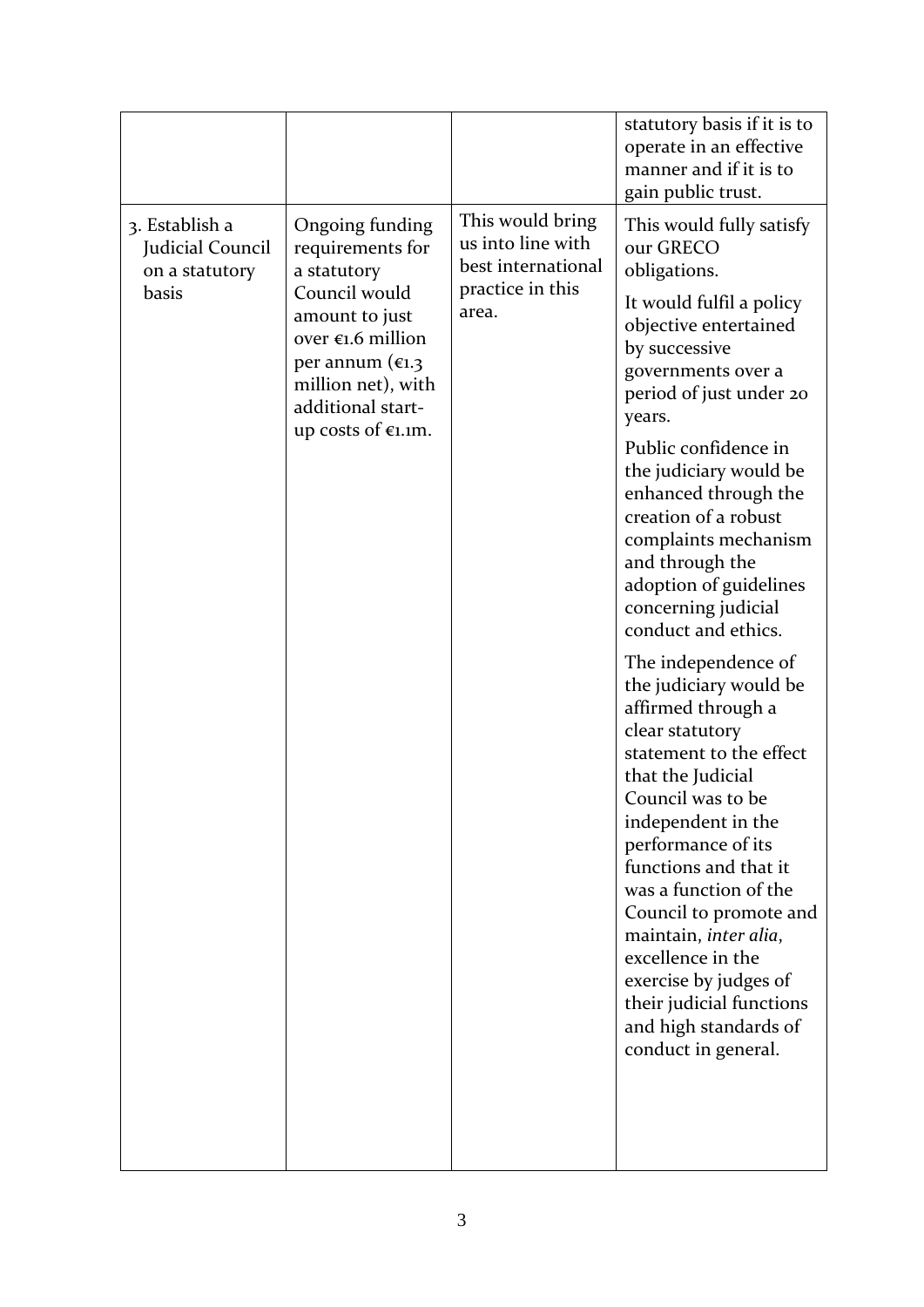|                                                               |                                                                                                                                                                                                                |                                                                                          | statutory basis if it is to<br>operate in an effective<br>manner and if it is to<br>gain public trust.                                                                                                                                                                                                                                                                                                                                 |
|---------------------------------------------------------------|----------------------------------------------------------------------------------------------------------------------------------------------------------------------------------------------------------------|------------------------------------------------------------------------------------------|----------------------------------------------------------------------------------------------------------------------------------------------------------------------------------------------------------------------------------------------------------------------------------------------------------------------------------------------------------------------------------------------------------------------------------------|
| 3. Establish a<br>Judicial Council<br>on a statutory<br>basis | Ongoing funding<br>requirements for<br>a statutory<br>Council would<br>amount to just<br>over $\varepsilon$ 1.6 million<br>per annum (€1.3<br>million net), with<br>additional start-<br>up costs of $€1.1m$ . | This would bring<br>us into line with<br>best international<br>practice in this<br>area. | This would fully satisfy<br>our GRECO<br>obligations.<br>It would fulfil a policy<br>objective entertained<br>by successive<br>governments over a<br>period of just under 20<br>years.<br>Public confidence in<br>the judiciary would be<br>enhanced through the<br>creation of a robust<br>complaints mechanism<br>and through the<br>adoption of guidelines<br>concerning judicial<br>conduct and ethics.                            |
|                                                               |                                                                                                                                                                                                                |                                                                                          | The independence of<br>the judiciary would be<br>affirmed through a<br>clear statutory<br>statement to the effect<br>that the Judicial<br>Council was to be<br>independent in the<br>performance of its<br>functions and that it<br>was a function of the<br>Council to promote and<br>maintain, inter alia,<br>excellence in the<br>exercise by judges of<br>their judicial functions<br>and high standards of<br>conduct in general. |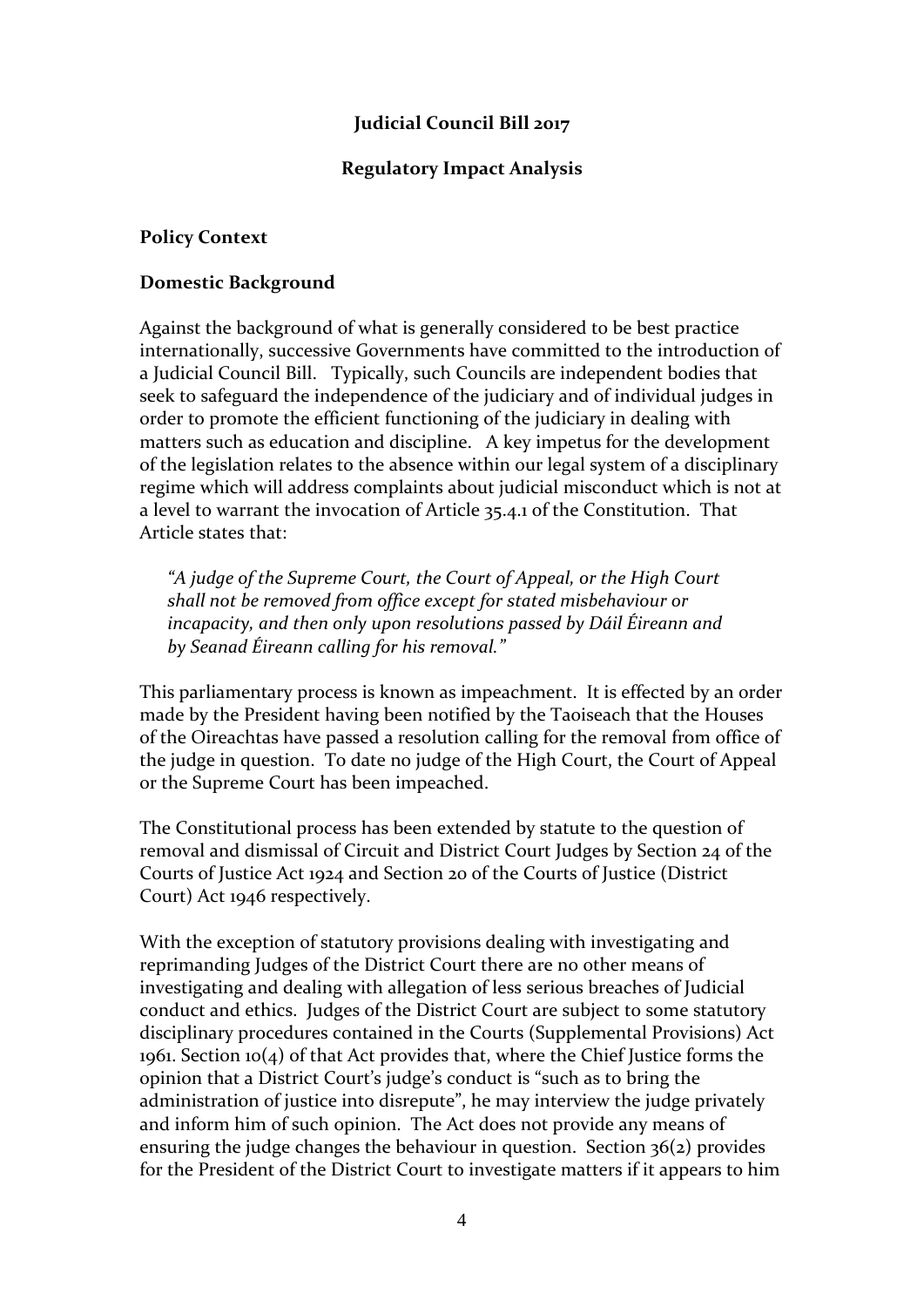# **Judicial Council Bill 2017**

### **Regulatory Impact Analysis**

#### **Policy Context**

#### **Domestic Background**

Against the background of what is generally considered to be best practice internationally, successive Governments have committed to the introduction of a Judicial Council Bill. Typically, such Councils are independent bodies that seek to safeguard the independence of the judiciary and of individual judges in order to promote the efficient functioning of the judiciary in dealing with matters such as education and discipline. A key impetus for the development of the legislation relates to the absence within our legal system of a disciplinary regime which will address complaints about judicial misconduct which is not at a level to warrant the invocation of Article 35.4.1 of the Constitution. That Article states that:

*"A judge of the Supreme Court, the Court of Appeal, or the High Court shall not be removed from office except for stated misbehaviour or incapacity, and then only upon resolutions passed by Dáil Éireann and by Seanad Éireann calling for his removal."*

This parliamentary process is known as impeachment. It is effected by an order made by the President having been notified by the Taoiseach that the Houses of the Oireachtas have passed a resolution calling for the removal from office of the judge in question. To date no judge of the High Court, the Court of Appeal or the Supreme Court has been impeached.

The Constitutional process has been extended by statute to the question of removal and dismissal of Circuit and District Court Judges by Section 24 of the Courts of Justice Act 1924 and Section 20 of the Courts of Justice (District Court) Act 1946 respectively.

With the exception of statutory provisions dealing with investigating and reprimanding Judges of the District Court there are no other means of investigating and dealing with allegation of less serious breaches of Judicial conduct and ethics. Judges of the District Court are subject to some statutory disciplinary procedures contained in the Courts (Supplemental Provisions) Act 1961. Section 10(4) of that Act provides that, where the Chief Justice forms the opinion that a District Court's judge's conduct is "such as to bring the administration of justice into disrepute", he may interview the judge privately and inform him of such opinion. The Act does not provide any means of ensuring the judge changes the behaviour in question. Section  $36(2)$  provides for the President of the District Court to investigate matters if it appears to him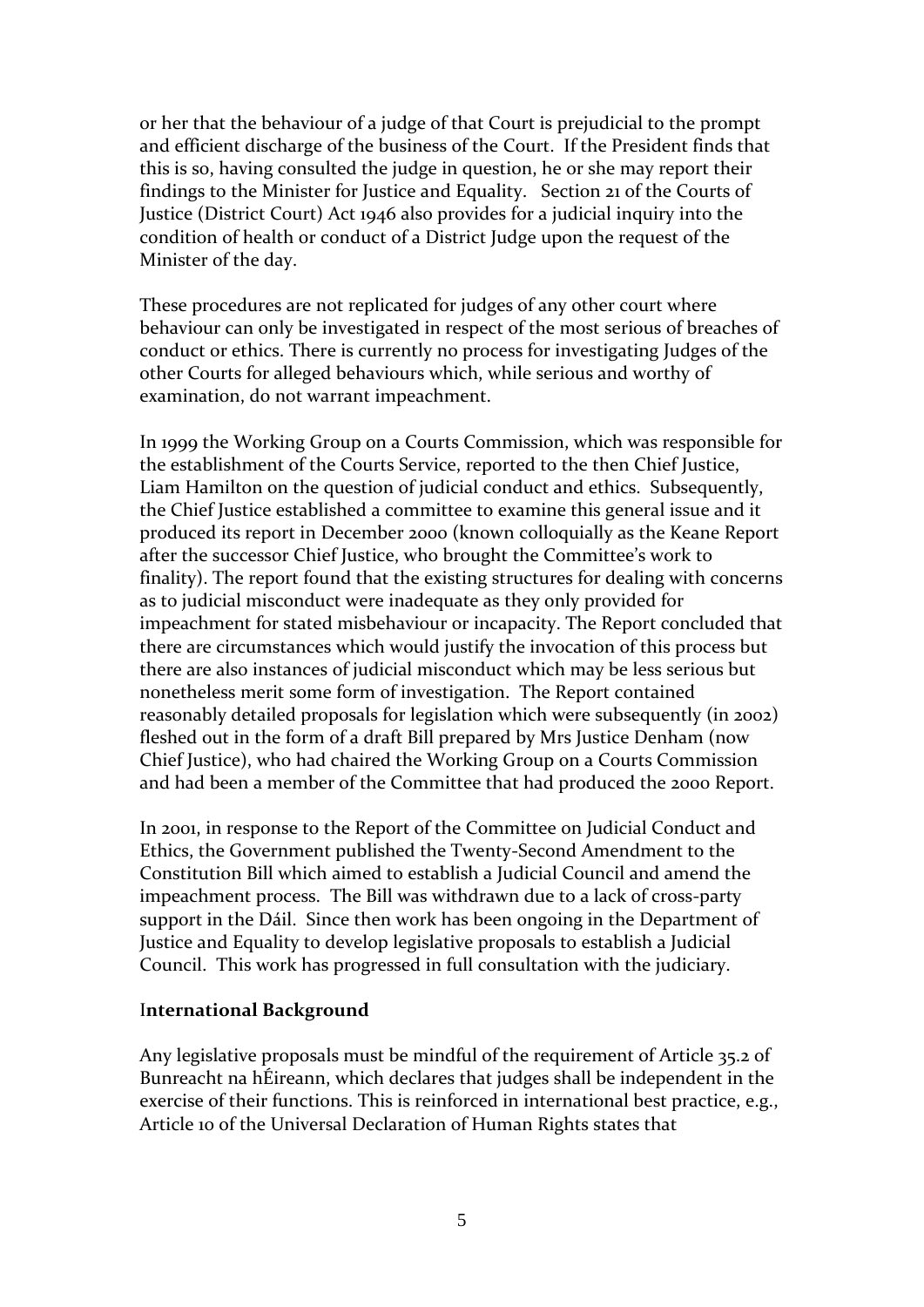or her that the behaviour of a judge of that Court is prejudicial to the prompt and efficient discharge of the business of the Court. If the President finds that this is so, having consulted the judge in question, he or she may report their findings to the Minister for Justice and Equality. Section 21 of the Courts of Justice (District Court) Act 1946 also provides for a judicial inquiry into the condition of health or conduct of a District Judge upon the request of the Minister of the day.

These procedures are not replicated for judges of any other court where behaviour can only be investigated in respect of the most serious of breaches of conduct or ethics. There is currently no process for investigating Judges of the other Courts for alleged behaviours which, while serious and worthy of examination, do not warrant impeachment.

In 1999 the Working Group on a Courts Commission, which was responsible for the establishment of the Courts Service, reported to the then Chief Justice, Liam Hamilton on the question of judicial conduct and ethics. Subsequently, the Chief Justice established a committee to examine this general issue and it produced its report in December 2000 (known colloquially as the Keane Report after the successor Chief Justice, who brought the Committee's work to finality). The report found that the existing structures for dealing with concerns as to judicial misconduct were inadequate as they only provided for impeachment for stated misbehaviour or incapacity. The Report concluded that there are circumstances which would justify the invocation of this process but there are also instances of judicial misconduct which may be less serious but nonetheless merit some form of investigation. The Report contained reasonably detailed proposals for legislation which were subsequently (in 2002) fleshed out in the form of a draft Bill prepared by Mrs Justice Denham (now Chief Justice), who had chaired the Working Group on a Courts Commission and had been a member of the Committee that had produced the 2000 Report.

In 2001, in response to the Report of the Committee on Judicial Conduct and Ethics, the Government published the Twenty-Second Amendment to the Constitution Bill which aimed to establish a Judicial Council and amend the impeachment process. The Bill was withdrawn due to a lack of cross-party support in the Dáil. Since then work has been ongoing in the Department of Justice and Equality to develop legislative proposals to establish a Judicial Council. This work has progressed in full consultation with the judiciary.

#### I**nternational Background**

Any legislative proposals must be mindful of the requirement of Article 35.2 of Bunreacht na hÉireann, which declares that judges shall be independent in the exercise of their functions. This is reinforced in international best practice, e.g., Article 10 of the Universal Declaration of Human Rights states that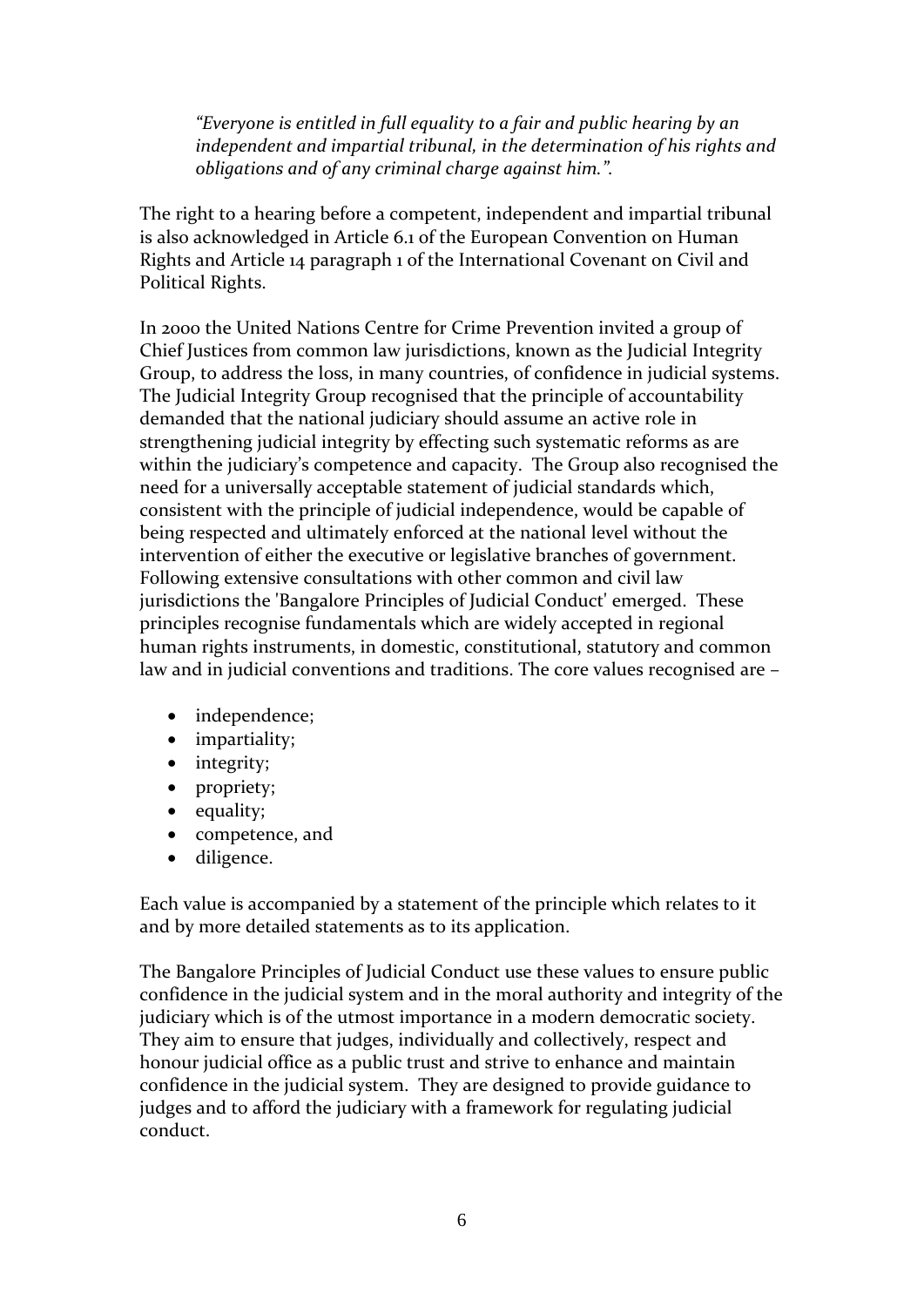*"Everyone is entitled in full equality to a fair and public hearing by an independent and impartial tribunal, in the determination of his rights and obligations and of any criminal charge against him.".* 

The right to a hearing before a competent, independent and impartial tribunal is also acknowledged in Article 6.1 of the European Convention on Human Rights and Article 14 paragraph 1 of the International Covenant on Civil and Political Rights.

In 2000 the United Nations Centre for Crime Prevention invited a group of Chief Justices from common law jurisdictions, known as the Judicial Integrity Group, to address the loss, in many countries, of confidence in judicial systems. The Judicial Integrity Group recognised that the principle of accountability demanded that the national judiciary should assume an active role in strengthening judicial integrity by effecting such systematic reforms as are within the judiciary's competence and capacity. The Group also recognised the need for a universally acceptable statement of judicial standards which, consistent with the principle of judicial independence, would be capable of being respected and ultimately enforced at the national level without the intervention of either the executive or legislative branches of government. Following extensive consultations with other common and civil law jurisdictions the 'Bangalore Principles of Judicial Conduct' emerged. These principles recognise fundamentals which are widely accepted in regional human rights instruments, in domestic, constitutional, statutory and common law and in judicial conventions and traditions. The core values recognised are –

- independence;
- impartiality;
- integrity;
- propriety;
- equality;
- competence, and
- diligence.

Each value is accompanied by a statement of the principle which relates to it and by more detailed statements as to its application.

The Bangalore Principles of Judicial Conduct use these values to ensure public confidence in the judicial system and in the moral authority and integrity of the judiciary which is of the utmost importance in a modern democratic society. They aim to ensure that judges, individually and collectively, respect and honour judicial office as a public trust and strive to enhance and maintain confidence in the judicial system. They are designed to provide guidance to judges and to afford the judiciary with a framework for regulating judicial conduct.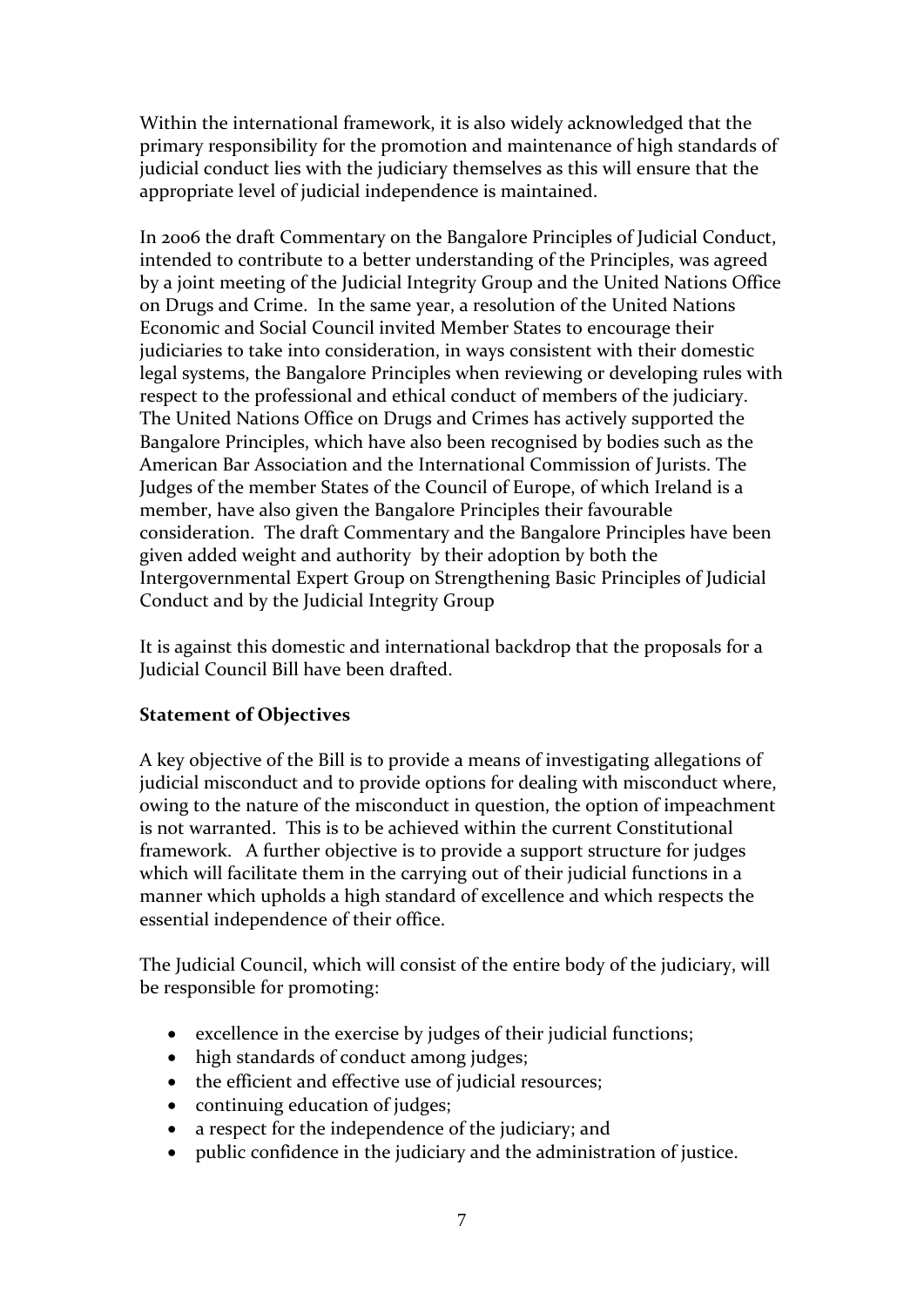Within the international framework, it is also widely acknowledged that the primary responsibility for the promotion and maintenance of high standards of judicial conduct lies with the judiciary themselves as this will ensure that the appropriate level of judicial independence is maintained.

In 2006 the draft Commentary on the Bangalore Principles of Judicial Conduct, intended to contribute to a better understanding of the Principles, was agreed by a joint meeting of the Judicial Integrity Group and the United Nations Office on Drugs and Crime. In the same year, a resolution of the United Nations Economic and Social Council invited Member States to encourage their judiciaries to take into consideration, in ways consistent with their domestic legal systems, the Bangalore Principles when reviewing or developing rules with respect to the professional and ethical conduct of members of the judiciary. The United Nations Office on Drugs and Crimes has actively supported the Bangalore Principles, which have also been recognised by bodies such as the American Bar Association and the International Commission of Jurists. The Judges of the member States of the Council of Europe, of which Ireland is a member, have also given the Bangalore Principles their favourable consideration. The draft Commentary and the Bangalore Principles have been given added weight and authority by their adoption by both the Intergovernmental Expert Group on Strengthening Basic Principles of Judicial Conduct and by the Judicial Integrity Group

It is against this domestic and international backdrop that the proposals for a Judicial Council Bill have been drafted.

## **Statement of Objectives**

A key objective of the Bill is to provide a means of investigating allegations of judicial misconduct and to provide options for dealing with misconduct where, owing to the nature of the misconduct in question, the option of impeachment is not warranted. This is to be achieved within the current Constitutional framework. A further objective is to provide a support structure for judges which will facilitate them in the carrying out of their judicial functions in a manner which upholds a high standard of excellence and which respects the essential independence of their office.

The Judicial Council, which will consist of the entire body of the judiciary, will be responsible for promoting:

- excellence in the exercise by judges of their judicial functions;
- high standards of conduct among judges;
- the efficient and effective use of judicial resources;
- continuing education of judges;
- a respect for the independence of the judiciary; and
- public confidence in the judiciary and the administration of justice.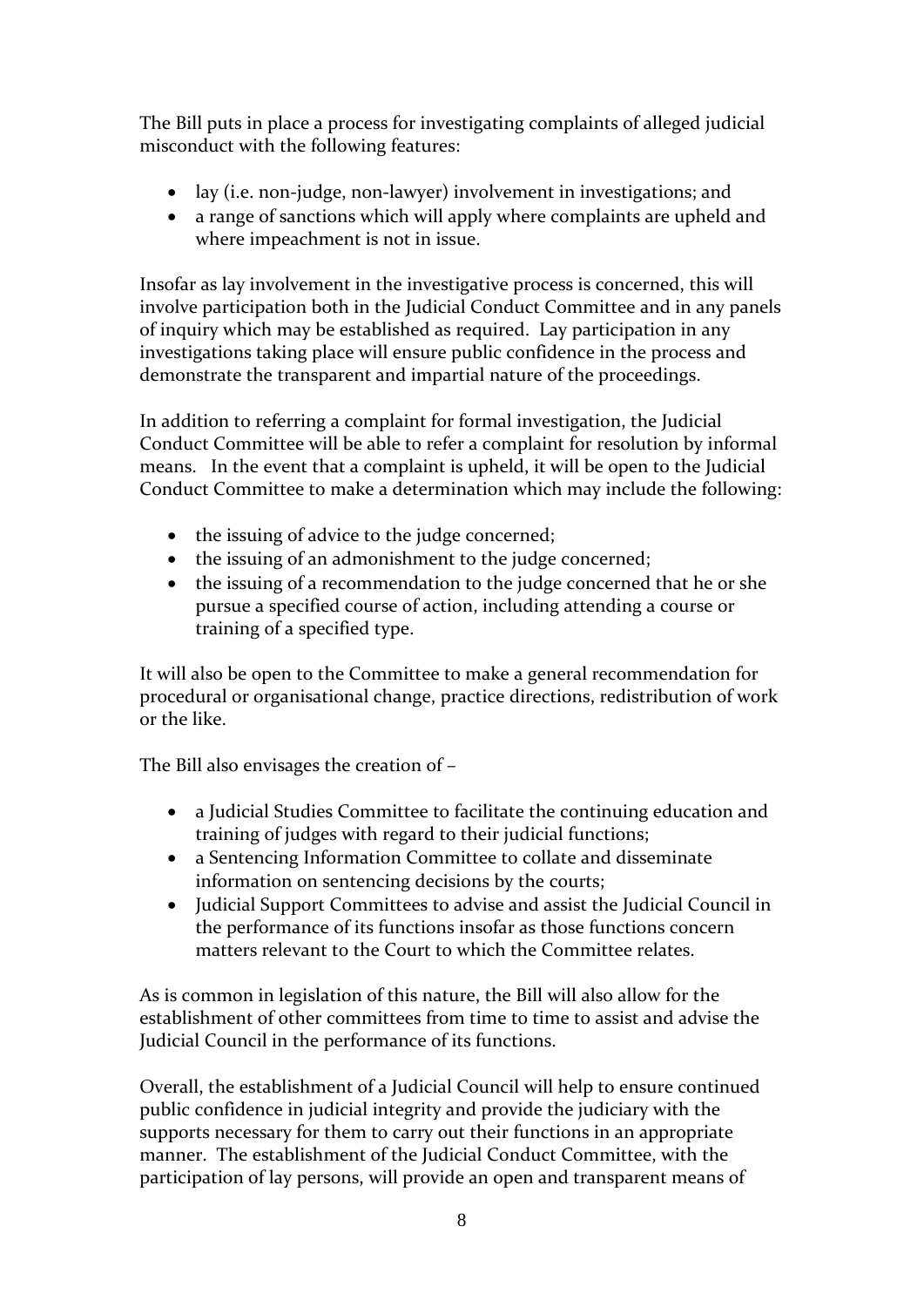The Bill puts in place a process for investigating complaints of alleged judicial misconduct with the following features:

- lay (i.e. non-judge, non-lawyer) involvement in investigations; and
- a range of sanctions which will apply where complaints are upheld and where impeachment is not in issue.

Insofar as lay involvement in the investigative process is concerned, this will involve participation both in the Judicial Conduct Committee and in any panels of inquiry which may be established as required. Lay participation in any investigations taking place will ensure public confidence in the process and demonstrate the transparent and impartial nature of the proceedings.

In addition to referring a complaint for formal investigation, the Judicial Conduct Committee will be able to refer a complaint for resolution by informal means. In the event that a complaint is upheld, it will be open to the Judicial Conduct Committee to make a determination which may include the following:

- the issuing of advice to the judge concerned;
- the issuing of an admonishment to the judge concerned;
- the issuing of a recommendation to the judge concerned that he or she pursue a specified course of action, including attending a course or training of a specified type.

It will also be open to the Committee to make a general recommendation for procedural or organisational change, practice directions, redistribution of work or the like.

The Bill also envisages the creation of –

- a Judicial Studies Committee to facilitate the continuing education and training of judges with regard to their judicial functions;
- a Sentencing Information Committee to collate and disseminate information on sentencing decisions by the courts;
- Judicial Support Committees to advise and assist the Judicial Council in the performance of its functions insofar as those functions concern matters relevant to the Court to which the Committee relates.

As is common in legislation of this nature, the Bill will also allow for the establishment of other committees from time to time to assist and advise the Judicial Council in the performance of its functions.

Overall, the establishment of a Judicial Council will help to ensure continued public confidence in judicial integrity and provide the judiciary with the supports necessary for them to carry out their functions in an appropriate manner. The establishment of the Judicial Conduct Committee, with the participation of lay persons, will provide an open and transparent means of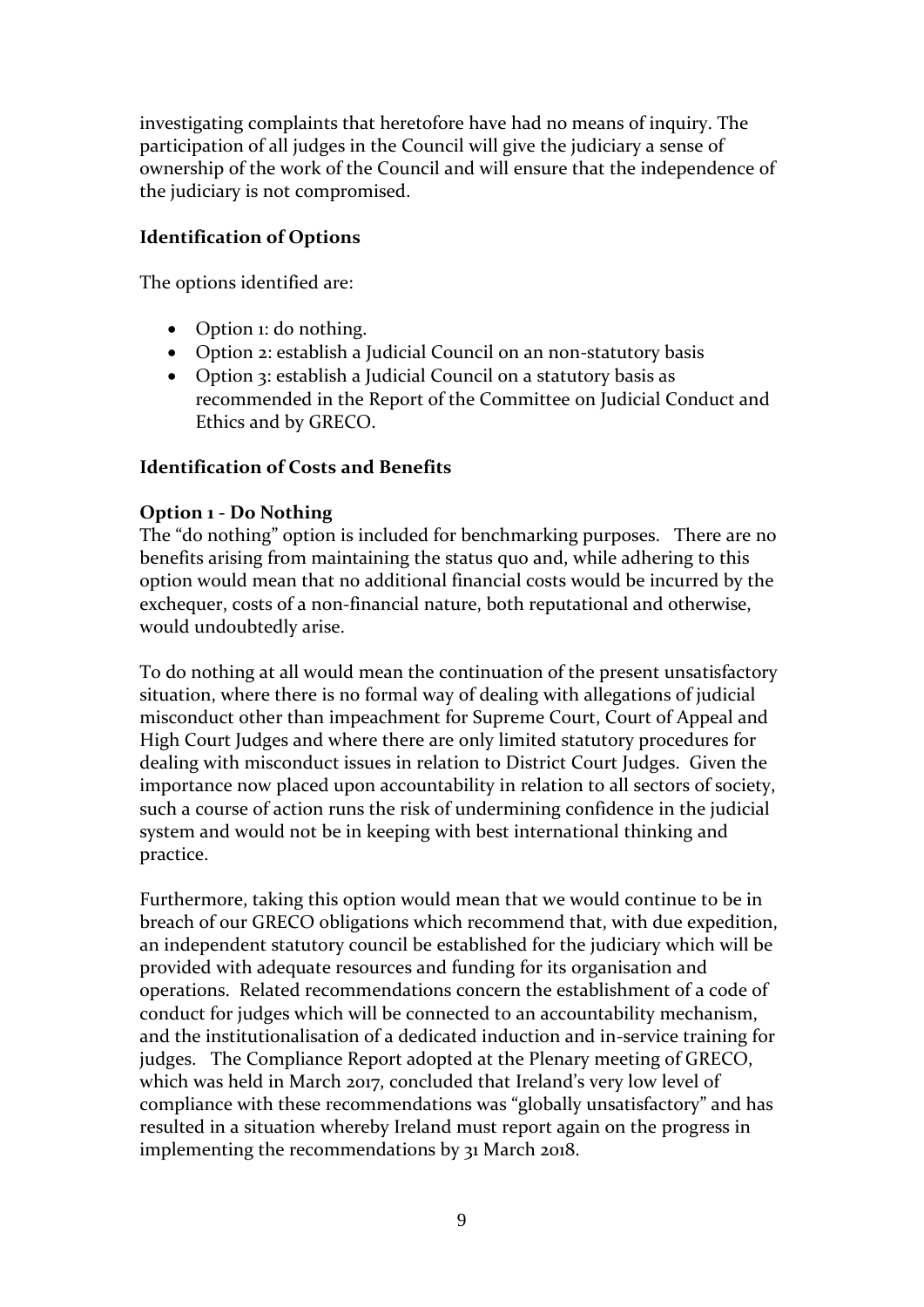investigating complaints that heretofore have had no means of inquiry. The participation of all judges in the Council will give the judiciary a sense of ownership of the work of the Council and will ensure that the independence of the judiciary is not compromised.

# **Identification of Options**

The options identified are:

- Option 1: do nothing.
- Option 2: establish a Judicial Council on an non-statutory basis
- Option 3: establish a Judicial Council on a statutory basis as recommended in the Report of the Committee on Judicial Conduct and Ethics and by GRECO.

# **Identification of Costs and Benefits**

## **Option 1 - Do Nothing**

The "do nothing" option is included for benchmarking purposes. There are no benefits arising from maintaining the status quo and, while adhering to this option would mean that no additional financial costs would be incurred by the exchequer, costs of a non-financial nature, both reputational and otherwise, would undoubtedly arise.

To do nothing at all would mean the continuation of the present unsatisfactory situation, where there is no formal way of dealing with allegations of judicial misconduct other than impeachment for Supreme Court, Court of Appeal and High Court Judges and where there are only limited statutory procedures for dealing with misconduct issues in relation to District Court Judges. Given the importance now placed upon accountability in relation to all sectors of society, such a course of action runs the risk of undermining confidence in the judicial system and would not be in keeping with best international thinking and practice.

Furthermore, taking this option would mean that we would continue to be in breach of our GRECO obligations which recommend that, with due expedition, an independent statutory council be established for the judiciary which will be provided with adequate resources and funding for its organisation and operations. Related recommendations concern the establishment of a code of conduct for judges which will be connected to an accountability mechanism, and the institutionalisation of a dedicated induction and in-service training for judges. The Compliance Report adopted at the Plenary meeting of GRECO, which was held in March 2017, concluded that Ireland's very low level of compliance with these recommendations was "globally unsatisfactory" and has resulted in a situation whereby Ireland must report again on the progress in implementing the recommendations by 31 March 2018.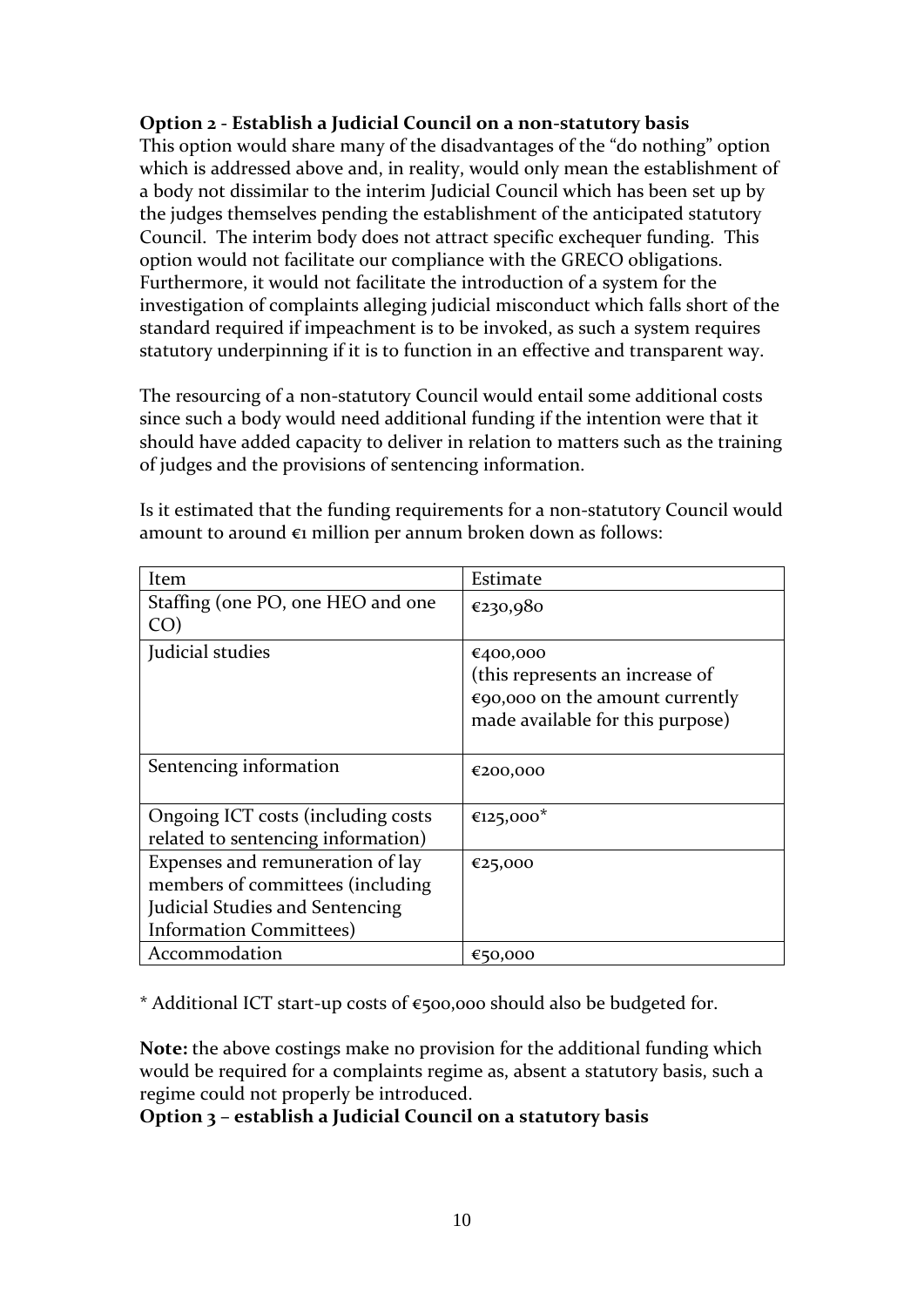# **Option 2 - Establish a Judicial Council on a non-statutory basis**

This option would share many of the disadvantages of the "do nothing" option which is addressed above and, in reality, would only mean the establishment of a body not dissimilar to the interim Judicial Council which has been set up by the judges themselves pending the establishment of the anticipated statutory Council. The interim body does not attract specific exchequer funding. This option would not facilitate our compliance with the GRECO obligations. Furthermore, it would not facilitate the introduction of a system for the investigation of complaints alleging judicial misconduct which falls short of the standard required if impeachment is to be invoked, as such a system requires statutory underpinning if it is to function in an effective and transparent way.

The resourcing of a non-statutory Council would entail some additional costs since such a body would need additional funding if the intention were that it should have added capacity to deliver in relation to matters such as the training of judges and the provisions of sentencing information.

| Item                                                                                                                                       | Estimate                                                                                                           |
|--------------------------------------------------------------------------------------------------------------------------------------------|--------------------------------------------------------------------------------------------------------------------|
| Staffing (one PO, one HEO and one<br>CO)                                                                                                   | €230,980                                                                                                           |
| Judicial studies                                                                                                                           | €400,000<br>(this represents an increase of<br>€90,000 on the amount currently<br>made available for this purpose) |
| Sentencing information                                                                                                                     | €200,000                                                                                                           |
| Ongoing ICT costs (including costs)<br>related to sentencing information)                                                                  | €125,000 <sup>*</sup>                                                                                              |
| Expenses and remuneration of lay<br>members of committees (including<br>Judicial Studies and Sentencing<br><b>Information Committees</b> ) | €25,000                                                                                                            |
| Accommodation                                                                                                                              | €50,000                                                                                                            |

Is it estimated that the funding requirements for a non-statutory Council would amount to around €1 million per annum broken down as follows:

\* Additional ICT start-up costs of €500,000 should also be budgeted for.

**Note:** the above costings make no provision for the additional funding which would be required for a complaints regime as, absent a statutory basis, such a regime could not properly be introduced.

## **Option 3 – establish a Judicial Council on a statutory basis**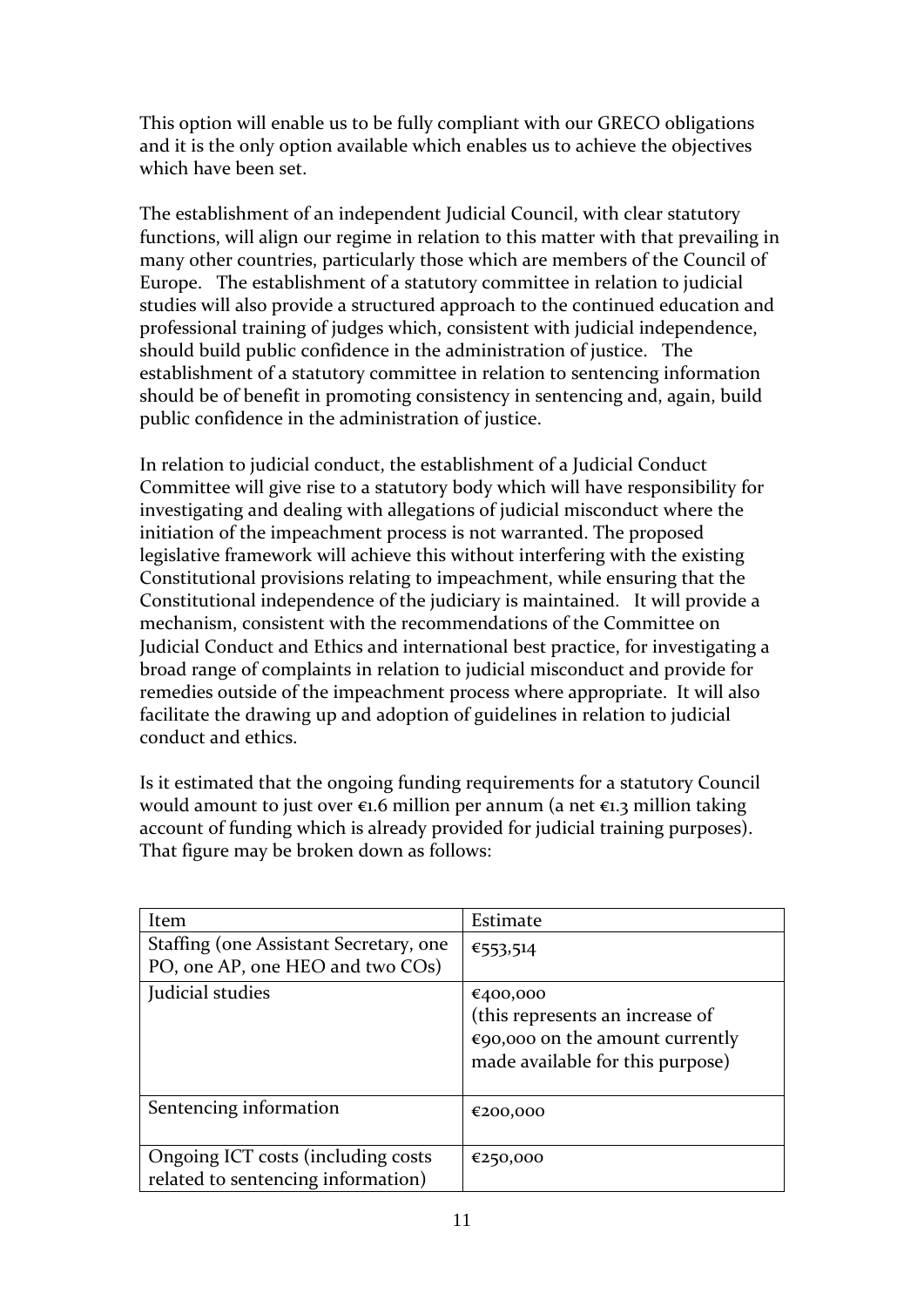This option will enable us to be fully compliant with our GRECO obligations and it is the only option available which enables us to achieve the objectives which have been set.

The establishment of an independent Judicial Council, with clear statutory functions, will align our regime in relation to this matter with that prevailing in many other countries, particularly those which are members of the Council of Europe. The establishment of a statutory committee in relation to judicial studies will also provide a structured approach to the continued education and professional training of judges which, consistent with judicial independence, should build public confidence in the administration of justice. The establishment of a statutory committee in relation to sentencing information should be of benefit in promoting consistency in sentencing and, again, build public confidence in the administration of justice.

In relation to judicial conduct, the establishment of a Judicial Conduct Committee will give rise to a statutory body which will have responsibility for investigating and dealing with allegations of judicial misconduct where the initiation of the impeachment process is not warranted. The proposed legislative framework will achieve this without interfering with the existing Constitutional provisions relating to impeachment, while ensuring that the Constitutional independence of the judiciary is maintained. It will provide a mechanism, consistent with the recommendations of the Committee on Judicial Conduct and Ethics and international best practice, for investigating a broad range of complaints in relation to judicial misconduct and provide for remedies outside of the impeachment process where appropriate. It will also facilitate the drawing up and adoption of guidelines in relation to judicial conduct and ethics.

Is it estimated that the ongoing funding requirements for a statutory Council would amount to just over €1.6 million per annum (a net €1.3 million taking account of funding which is already provided for judicial training purposes). That figure may be broken down as follows:

| Item                                                                       | Estimate                                                                                                                     |
|----------------------------------------------------------------------------|------------------------------------------------------------------------------------------------------------------------------|
| Staffing (one Assistant Secretary, one<br>PO, one AP, one HEO and two COs) | €553,514                                                                                                                     |
| Judicial studies                                                           | €400,000<br>(this represents an increase of<br>$\epsilon$ 90,000 on the amount currently<br>made available for this purpose) |
| Sentencing information                                                     | €200,000                                                                                                                     |
| Ongoing ICT costs (including costs)<br>related to sentencing information)  | €250,000                                                                                                                     |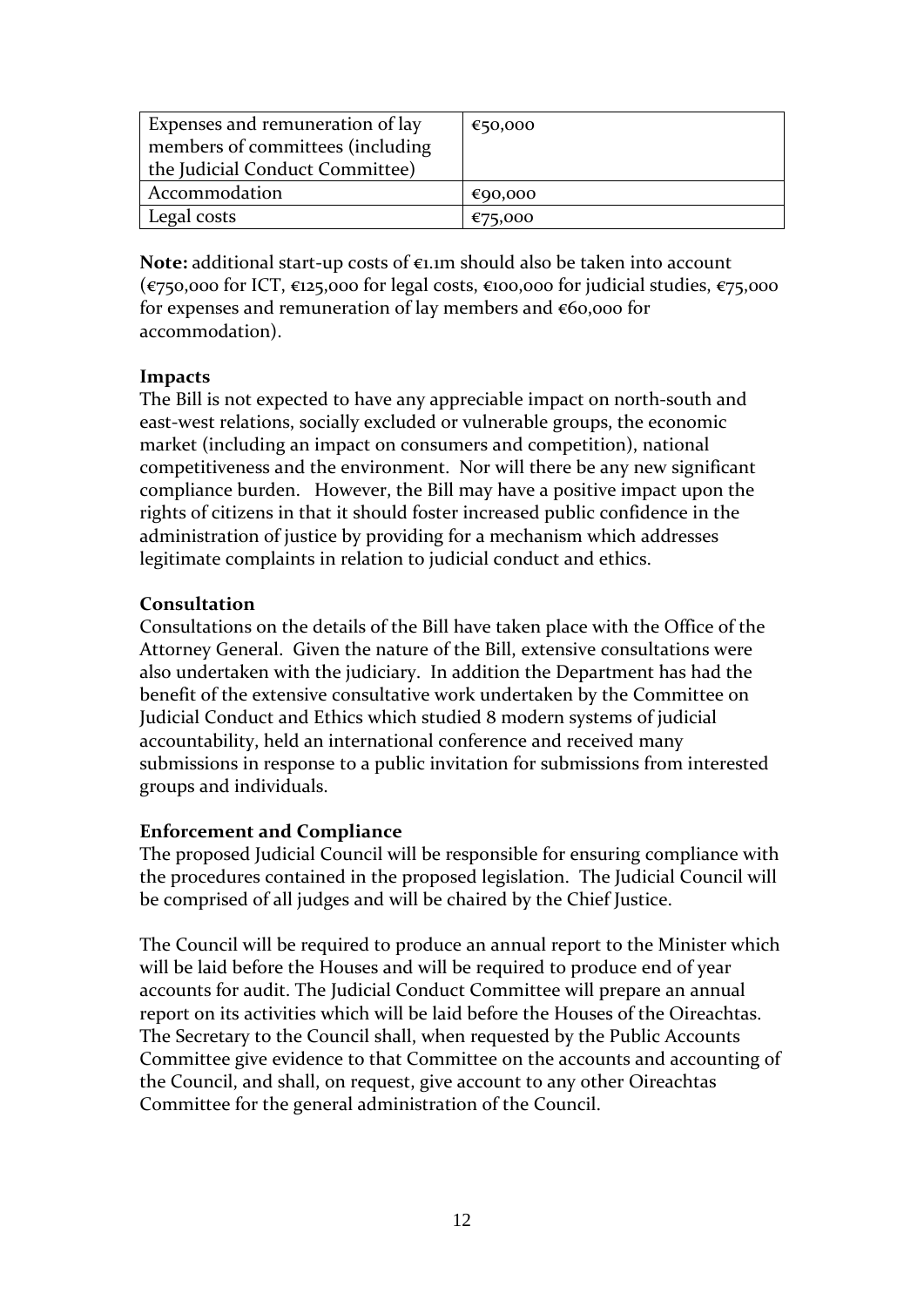| Expenses and remuneration of lay | €50,000 |
|----------------------------------|---------|
| members of committees (including |         |
| the Judicial Conduct Committee)  |         |
| Accommodation                    | €90,000 |
| Legal costs                      | €75,000 |

Note: additional start-up costs of €1.1m should also be taken into account (€750,000 for ICT, €125,000 for legal costs, €100,000 for judicial studies, €75,000 for expenses and remuneration of lay members and  $€60,000$  for accommodation).

## **Impacts**

The Bill is not expected to have any appreciable impact on north-south and east-west relations, socially excluded or vulnerable groups, the economic market (including an impact on consumers and competition), national competitiveness and the environment. Nor will there be any new significant compliance burden. However, the Bill may have a positive impact upon the rights of citizens in that it should foster increased public confidence in the administration of justice by providing for a mechanism which addresses legitimate complaints in relation to judicial conduct and ethics.

### **Consultation**

Consultations on the details of the Bill have taken place with the Office of the Attorney General. Given the nature of the Bill, extensive consultations were also undertaken with the judiciary. In addition the Department has had the benefit of the extensive consultative work undertaken by the Committee on Judicial Conduct and Ethics which studied 8 modern systems of judicial accountability, held an international conference and received many submissions in response to a public invitation for submissions from interested groups and individuals.

#### **Enforcement and Compliance**

The proposed Judicial Council will be responsible for ensuring compliance with the procedures contained in the proposed legislation. The Judicial Council will be comprised of all judges and will be chaired by the Chief Justice.

The Council will be required to produce an annual report to the Minister which will be laid before the Houses and will be required to produce end of year accounts for audit. The Judicial Conduct Committee will prepare an annual report on its activities which will be laid before the Houses of the Oireachtas. The Secretary to the Council shall, when requested by the Public Accounts Committee give evidence to that Committee on the accounts and accounting of the Council, and shall, on request, give account to any other Oireachtas Committee for the general administration of the Council.